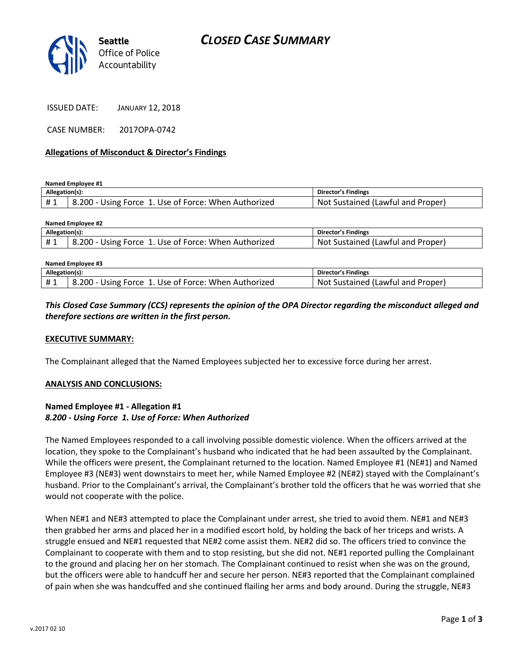

CASE NUMBER: 2017OPA-0742

### **Allegations of Misconduct & Director's Findings**

**Named Employee #1**

| Allegation(s): |                                                      | Director's Findings               |
|----------------|------------------------------------------------------|-----------------------------------|
| #1             | B.200 - Using Force 1. Use of Force: When Authorized | Not Sustained (Lawful and Proper) |

| Named Employee #2 |                                                      |                                   |  |  |
|-------------------|------------------------------------------------------|-----------------------------------|--|--|
| Allegation(s):    |                                                      | Director's Findings               |  |  |
| #1                | 8.200 - Using Force 1. Use of Force: When Authorized | Not Sustained (Lawful and Proper) |  |  |
|                   |                                                      |                                   |  |  |

| Named Employee #3 |                                                      |                                   |  |
|-------------------|------------------------------------------------------|-----------------------------------|--|
| Allegation(s):    |                                                      | Director's Findings               |  |
| #1                | 8.200 - Using Force 1. Use of Force: When Authorized | Not Sustained (Lawful and Proper) |  |

*This Closed Case Summary (CCS) represents the opinion of the OPA Director regarding the misconduct alleged and therefore sections are written in the first person.* 

#### **EXECUTIVE SUMMARY:**

The Complainant alleged that the Named Employees subjected her to excessive force during her arrest.

#### **ANALYSIS AND CONCLUSIONS:**

## **Named Employee #1 - Allegation #1** *8.200 - Using Force 1. Use of Force: When Authorized*

The Named Employees responded to a call involving possible domestic violence. When the officers arrived at the location, they spoke to the Complainant's husband who indicated that he had been assaulted by the Complainant. While the officers were present, the Complainant returned to the location. Named Employee #1 (NE#1) and Named Employee #3 (NE#3) went downstairs to meet her, while Named Employee #2 (NE#2) stayed with the Complainant's husband. Prior to the Complainant's arrival, the Complainant's brother told the officers that he was worried that she would not cooperate with the police.

When NE#1 and NE#3 attempted to place the Complainant under arrest, she tried to avoid them. NE#1 and NE#3 then grabbed her arms and placed her in a modified escort hold, by holding the back of her triceps and wrists. A struggle ensued and NE#1 requested that NE#2 come assist them. NE#2 did so. The officers tried to convince the Complainant to cooperate with them and to stop resisting, but she did not. NE#1 reported pulling the Complainant to the ground and placing her on her stomach. The Complainant continued to resist when she was on the ground, but the officers were able to handcuff her and secure her person. NE#3 reported that the Complainant complained of pain when she was handcuffed and she continued flailing her arms and body around. During the struggle, NE#3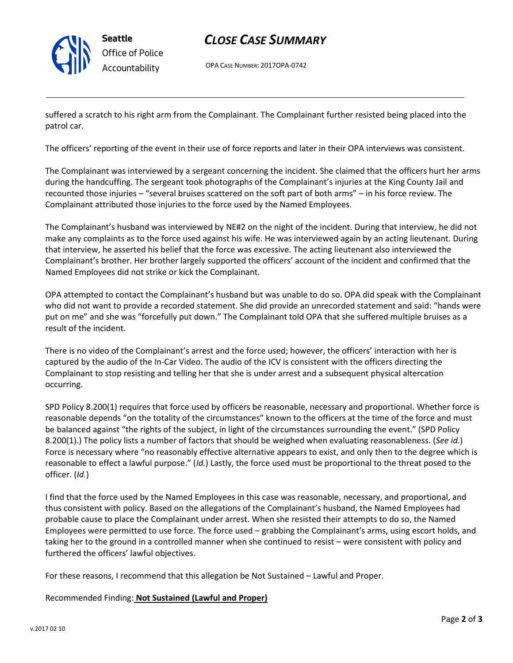

**Seattle** *Office of Police Accountability*

# *CLOSE CASE SUMMARY*

OPA CASE NUMBER: 2017OPA-0742

suffered a scratch to his right arm from the Complainant. The Complainant further resisted being placed into the patrol car.

The officers' reporting of the event in their use of force reports and later in their OPA interviews was consistent.

The Complainant was interviewed by a sergeant concerning the incident. She claimed that the officers hurt her arms during the handcuffing. The sergeant took photographs of the Complainant's injuries at the King County Jail and recounted those injuries – "several bruises scattered on the soft part of both arms" – in his force review. The Complainant attributed those injuries to the force used by the Named Employees.

The Complainant's husband was interviewed by NE#2 on the night of the incident. During that interview, he did not make any complaints as to the force used against his wife. He was interviewed again by an acting lieutenant. During that interview, he asserted his belief that the force was excessive. The acting lieutenant also interviewed the Complainant's brother. Her brother largely supported the officers' account of the incident and confirmed that the Named Employees did not strike or kick the Complainant.

OPA attempted to contact the Complainant's husband but was unable to do so. OPA did speak with the Complainant who did not want to provide a recorded statement. She did provide an unrecorded statement and said: "hands were put on me" and she was "forcefully put down." The Complainant told OPA that she suffered multiple bruises as a result of the incident.

There is no video of the Complainant's arrest and the force used; however, the officers' interaction with her is captured by the audio of the In-Car Video. The audio of the ICV is consistent with the officers directing the Complainant to stop resisting and telling her that she is under arrest and a subsequent physical altercation occurring.

SPD Policy 8.200(1) requires that force used by officers be reasonable, necessary and proportional. Whether force is reasonable depends "on the totality of the circumstances" known to the officers at the time of the force and must be balanced against "the rights of the subject, in light of the circumstances surrounding the event." (SPD Policy 8.200(1).) The policy lists a number of factors that should be weighed when evaluating reasonableness. (*See id.*) Force is necessary where "no reasonably effective alternative appears to exist, and only then to the degree which is reasonable to effect a lawful purpose." (*Id.*) Lastly, the force used must be proportional to the threat posed to the officer. (*Id.*)

I find that the force used by the Named Employees in this case was reasonable, necessary, and proportional, and thus consistent with policy. Based on the allegations of the Complainant's husband, the Named Employees had probable cause to place the Complainant under arrest. When she resisted their attempts to do so, the Named Employees were permitted to use force. The force used – grabbing the Complainant's arms, using escort holds, and taking her to the ground in a controlled manner when she continued to resist – were consistent with policy and furthered the officers' lawful objectives.

For these reasons, I recommend that this allegation be Not Sustained – Lawful and Proper.

## Recommended Finding: **Not Sustained (Lawful and Proper)**